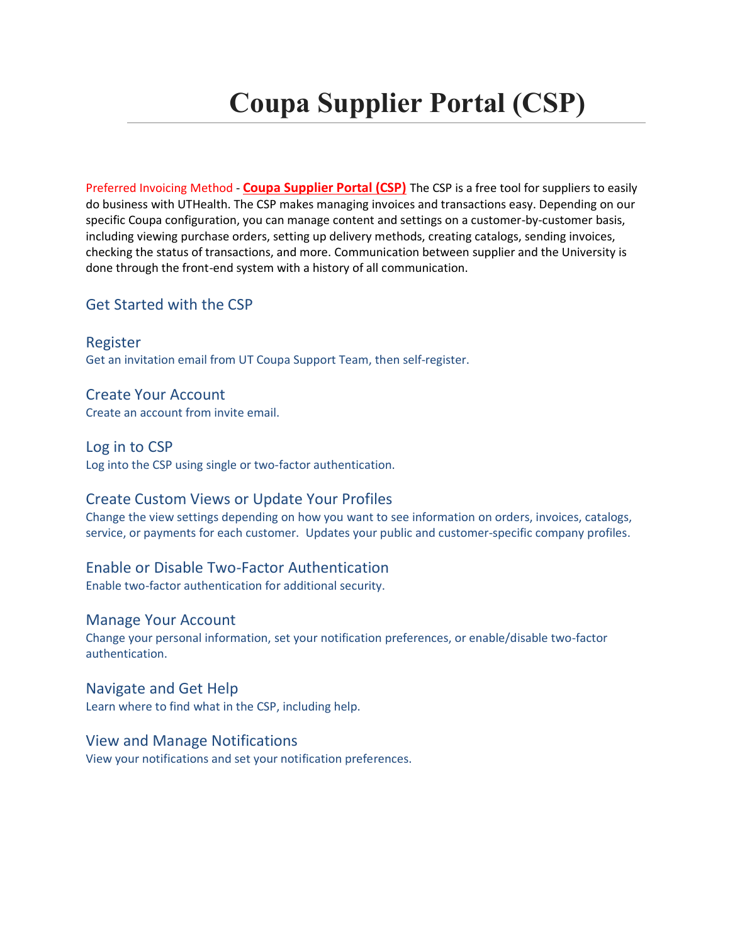# **Coupa Supplier Portal (CSP)**

Preferred Invoicing Method - **Coupa Supplier Portal (CSP)** The CSP is a free tool for suppliers to easily do business with UTHealth. The CSP makes managing invoices and transactions easy. Depending on our specific Coupa configuration, you can manage content and settings on a customer-by-customer basis, including viewing purchase orders, setting up delivery methods, creating catalogs, sending invoices, checking the status of transactions, and more. Communication between supplier and the University is done through the front-end system with a history of all communication.

# Get Started with the CSP

Register Get an invitation email from UT Coupa Support Team, then self-register.

Create Your Account Create an account from invite email.

Log in to CSP Log into the CSP using single or two-factor authentication.

# Create Custom Views or Update Your Profiles

Change the view settings depending on how you want to see information on orders, invoices, catalogs, service, or payments for each customer. Updates your public and customer-specific company profiles.

## Enable or Disable Two-Factor Authentication

Enable two-factor authentication for additional security.

## Manage Your Account

Change your personal information, set your notification preferences, or enable/disable two-factor authentication.

## Navigate and Get Help

Learn where to find what in the CSP, including help.

## View and Manage Notifications

View your notifications and set your notification preferences.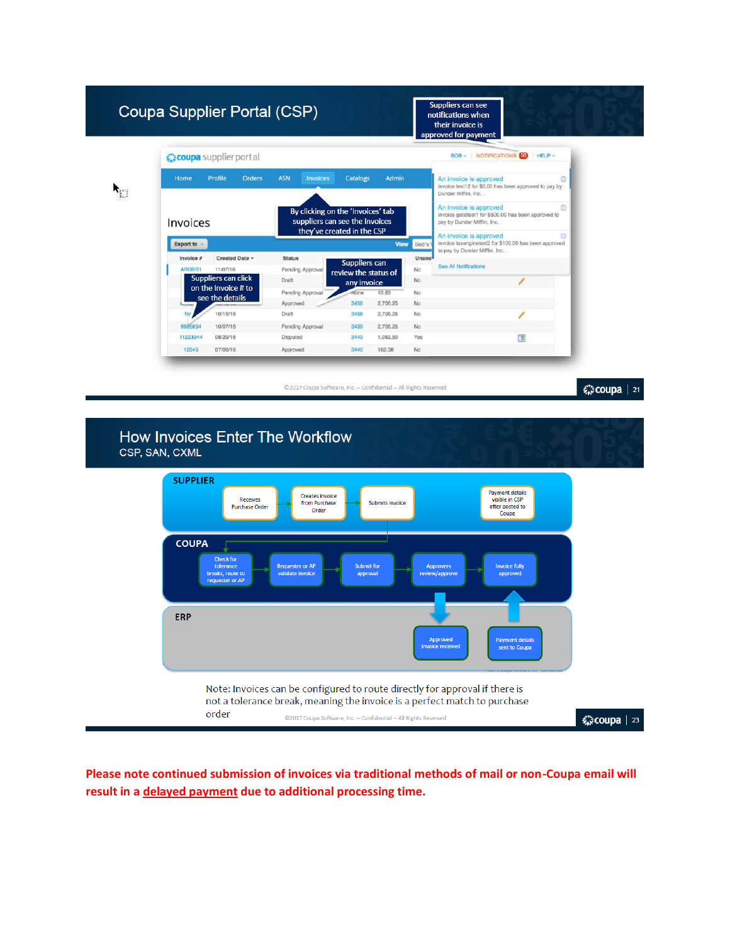| Coupa Supplier Portal (CSP) |                                        |                                            |                                                                                                   |                                     |                   |                                                                                                                                                                  | Suppliers can see<br>notifications when<br>their invoice is<br>approved for payment       |   |
|-----------------------------|----------------------------------------|--------------------------------------------|---------------------------------------------------------------------------------------------------|-------------------------------------|-------------------|------------------------------------------------------------------------------------------------------------------------------------------------------------------|-------------------------------------------------------------------------------------------|---|
|                             | coupa supplier port al                 |                                            |                                                                                                   |                                     |                   |                                                                                                                                                                  | BOB ~ NOTIFICATIONS 58<br>$HE$ <sub>V</sub>                                               |   |
|                             | Home                                   | Profile<br>Orders                          | <b>ASN</b><br><b>Invoices</b>                                                                     | Catalogs                            | <b>Admin</b>      |                                                                                                                                                                  | An invoice is approved<br>Invoice test12 for \$0.00 has been approved to pay by           | ⊗ |
|                             | Invoices                               |                                            | By clicking on the 'Invoices' tab<br>suppliers can see the invoices<br>they've created in the CSP |                                     |                   | Dunder Mifflin, Inc. .<br>An invoice is approved<br>Invoice gstidtest1 for \$500.00 has been approved to<br>pay by Dunder Mifflin, Inc<br>An invoice is approved |                                                                                           |   |
|                             | Export to -                            |                                            |                                                                                                   |                                     | <b>View</b>       | Bob's                                                                                                                                                            | Invoice taxenginetest2 for \$100.00 has been approved<br>to pay by Dunder Mifflin, Inc. . |   |
|                             | Invoice #<br>ARDBS1                    | Created Date -<br>11/07/16                 | <b>Status</b><br>Pending Approval                                                                 | Suppliers can                       |                   | Unans<br>No                                                                                                                                                      | See All Notifications                                                                     |   |
|                             |                                        | Suppliers can click<br>on the Invoice # to | Draft                                                                                             | review the status of<br>any invoice |                   | No                                                                                                                                                               |                                                                                           |   |
|                             |                                        | see the details                            | Pending Approval<br>Approved                                                                      | None<br>3456                        | 10.83<br>2,706.25 | No<br>No                                                                                                                                                         |                                                                                           |   |
|                             | <b><i><u>Programment</u></i></b><br>No | 10/16/16                                   | Draft                                                                                             | 3456                                | 2,706.25          | No                                                                                                                                                               |                                                                                           |   |
|                             | 9985654                                | 10/07/16                                   | Pending Approval                                                                                  | 3439                                | 2,706.25          | <b>No</b>                                                                                                                                                        |                                                                                           |   |
|                             | 11223344                               | 08/29/16                                   | Disputed                                                                                          | 3449                                | 1,082.50          | Yes                                                                                                                                                              | 围                                                                                         |   |
|                             | 12345                                  | 07/06/16                                   | Approved                                                                                          | 3440                                | 162.38            | No                                                                                                                                                               |                                                                                           |   |

森coupa | 21



**Please note continued submission of invoices via traditional methods of mail or non-Coupa email will result in a delayed payment due to additional processing time.**